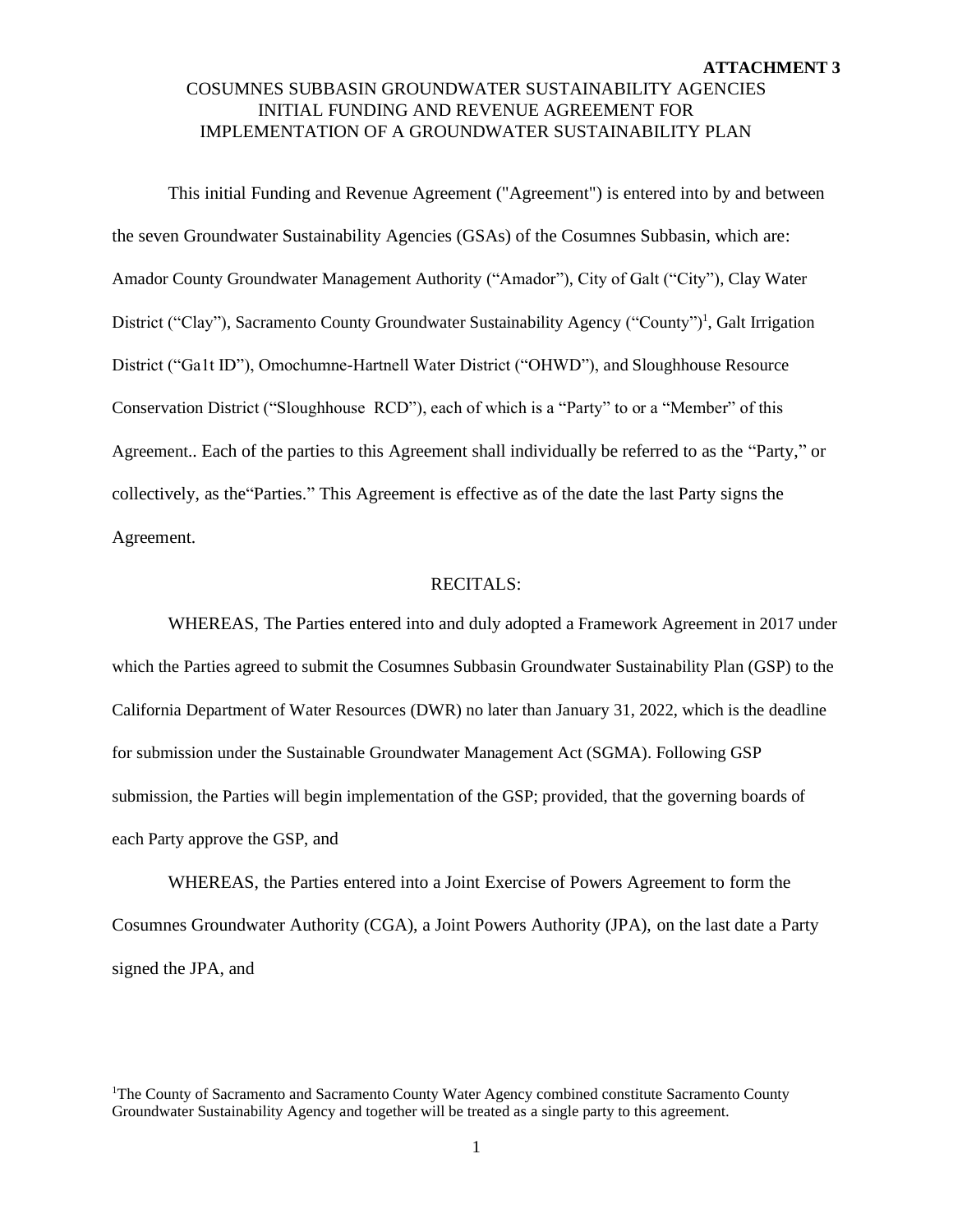This initial Funding and Revenue Agreement ("Agreement") is entered into by and between the seven Groundwater Sustainability Agencies (GSAs) of the Cosumnes Subbasin, which are: Amador County Groundwater Management Authority ("Amador"), City of Galt ("City"), Clay Water District ("Clay"), Sacramento County Groundwater Sustainability Agency ("County")<sup>1</sup>, Galt Irrigation District ("Ga1t ID"), Omochumne-Hartnell Water District ("OHWD"), and Sloughhouse Resource Conservation District ("Sloughhouse RCD"), each of which is a "Party" to or a "Member" of this Agreement.. Each of the parties to this Agreement shall individually be referred to as the "Party," or collectively, as the"Parties." This Agreement is effective as of the date the last Party signs the Agreement.

#### RECITALS:

WHEREAS, The Parties entered into and duly adopted a Framework Agreement in 2017 under which the Parties agreed to submit the Cosumnes Subbasin Groundwater Sustainability Plan (GSP) to the California Department of Water Resources (DWR) no later than January 31, 2022, which is the deadline for submission under the Sustainable Groundwater Management Act (SGMA). Following GSP submission, the Parties will begin implementation of the GSP; provided, that the governing boards of each Party approve the GSP, and

WHEREAS, the Parties entered into a Joint Exercise of Powers Agreement to form the Cosumnes Groundwater Authority (CGA), a Joint Powers Authority (JPA), on the last date a Party signed the JPA, and

<sup>1</sup>The County of Sacramento and Sacramento County Water Agency combined constitute Sacramento County Groundwater Sustainability Agency and together will be treated as a single party to this agreement.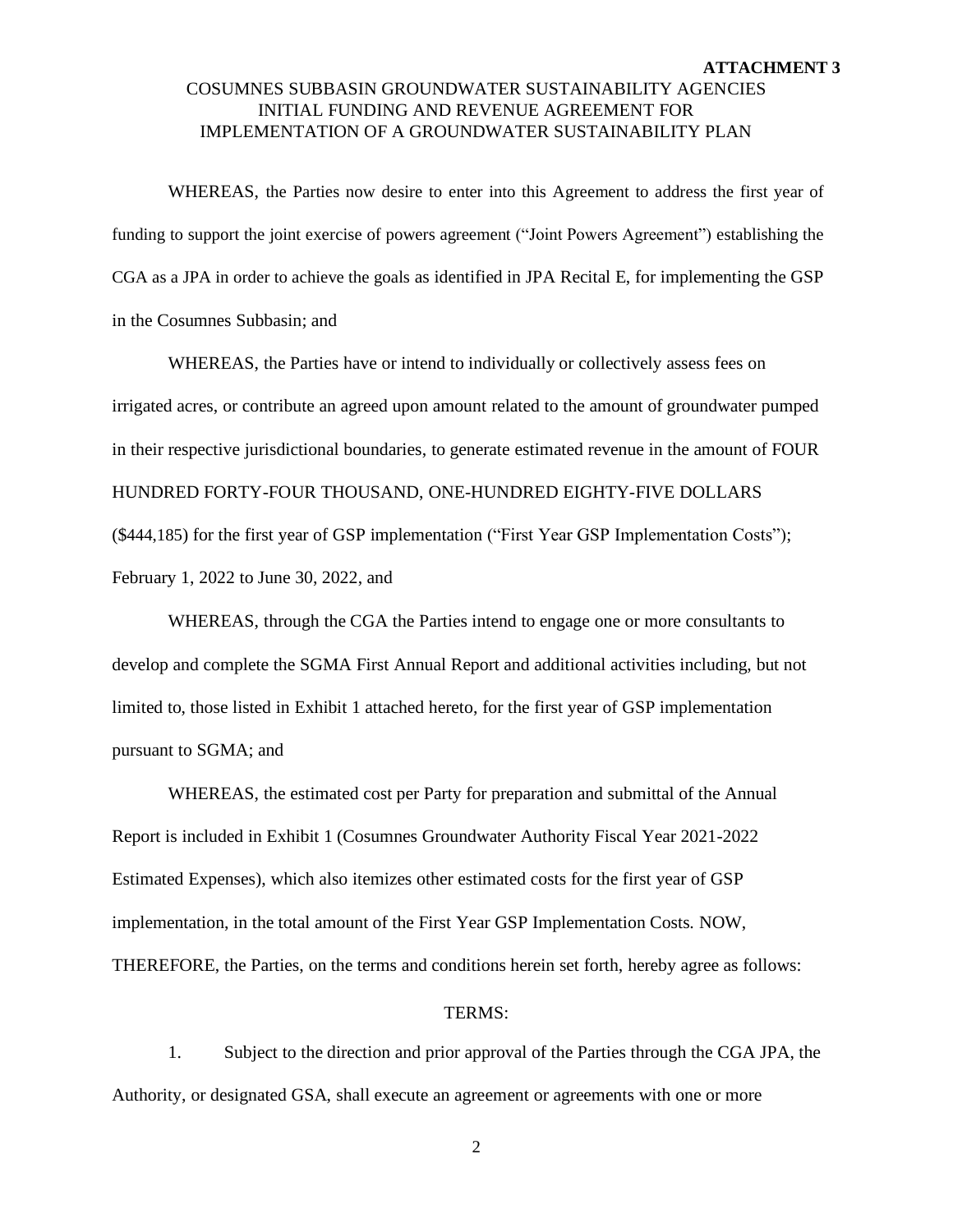WHEREAS, the Parties now desire to enter into this Agreement to address the first year of funding to support the joint exercise of powers agreement ("Joint Powers Agreement") establishing the CGA as a JPA in order to achieve the goals as identified in JPA Recital E, for implementing the GSP in the Cosumnes Subbasin; and

WHEREAS, the Parties have or intend to individually or collectively assess fees on irrigated acres, or contribute an agreed upon amount related to the amount of groundwater pumped in their respective jurisdictional boundaries, to generate estimated revenue in the amount of FOUR HUNDRED FORTY-FOUR THOUSAND, ONE-HUNDRED EIGHTY-FIVE DOLLARS (\$444,185) for the first year of GSP implementation ("First Year GSP Implementation Costs"); February 1, 2022 to June 30, 2022, and

WHEREAS, through the CGA the Parties intend to engage one or more consultants to develop and complete the SGMA First Annual Report and additional activities including, but not limited to, those listed in Exhibit 1 attached hereto, for the first year of GSP implementation pursuant to SGMA; and

WHEREAS, the estimated cost per Party for preparation and submittal of the Annual Report is included in Exhibit 1 (Cosumnes Groundwater Authority Fiscal Year 2021-2022 Estimated Expenses), which also itemizes other estimated costs for the first year of GSP implementation, in the total amount of the First Year GSP Implementation Costs. NOW, THEREFORE, the Parties, on the terms and conditions herein set forth, hereby agree as follows:

#### TERMS:

1. Subject to the direction and prior approval of the Parties through the CGA JPA, the Authority, or designated GSA, shall execute an agreement or agreements with one or more

2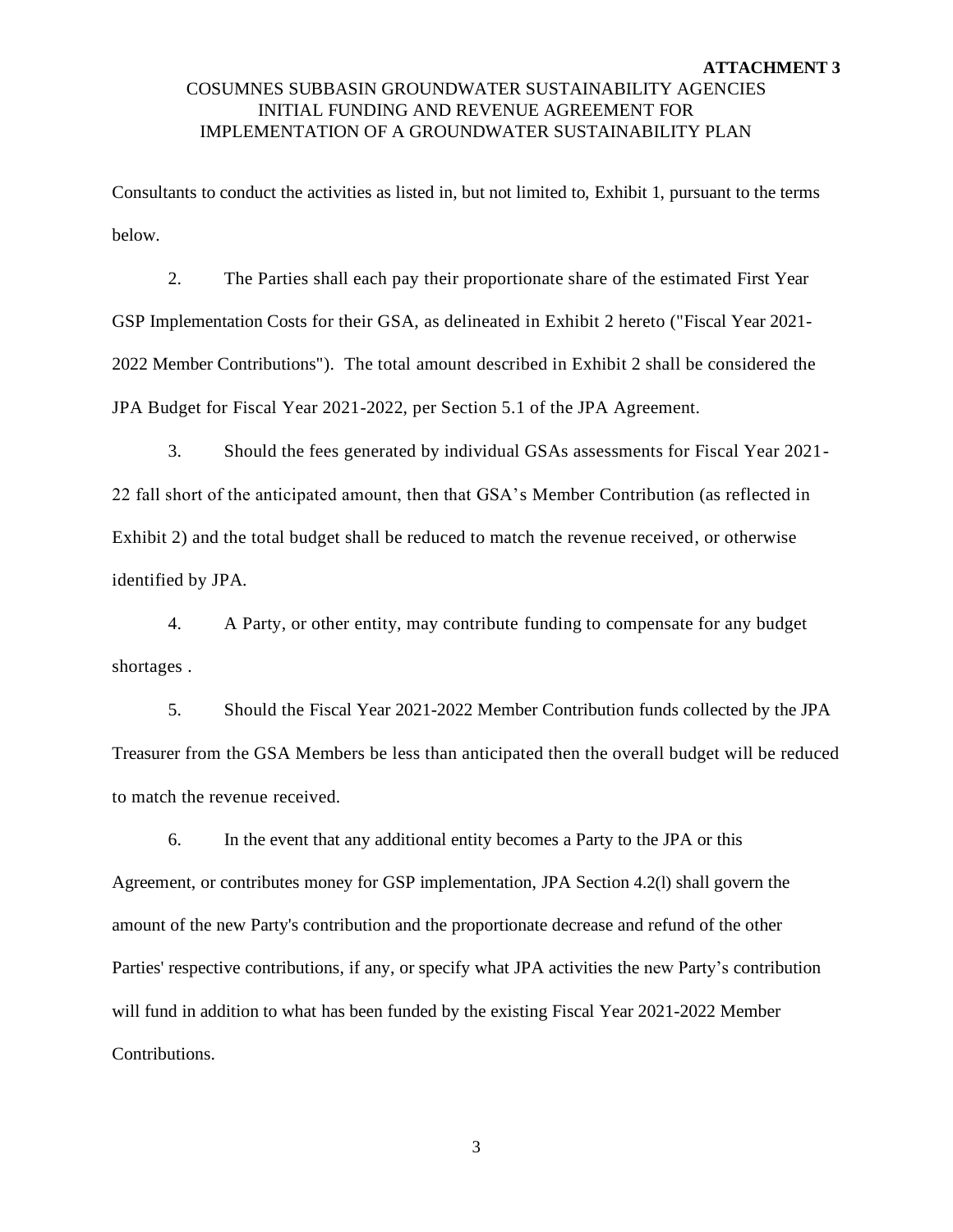Consultants to conduct the activities as listed in, but not limited to, Exhibit 1, pursuant to the terms below.

2. The Parties shall each pay their proportionate share of the estimated First Year GSP Implementation Costs for their GSA, as delineated in Exhibit 2 hereto ("Fiscal Year 2021- 2022 Member Contributions"). The total amount described in Exhibit 2 shall be considered the JPA Budget for Fiscal Year 2021-2022, per Section 5.1 of the JPA Agreement.

3. Should the fees generated by individual GSAs assessments for Fiscal Year 2021- 22 fall short of the anticipated amount, then that GSA's Member Contribution (as reflected in Exhibit 2) and the total budget shall be reduced to match the revenue received, or otherwise identified by JPA.

4. A Party, or other entity, may contribute funding to compensate for any budget shortages .

5. Should the Fiscal Year 2021-2022 Member Contribution funds collected by the JPA Treasurer from the GSA Members be less than anticipated then the overall budget will be reduced to match the revenue received.

6. In the event that any additional entity becomes a Party to the JPA or this Agreement, or contributes money for GSP implementation, JPA Section 4.2(l) shall govern the amount of the new Party's contribution and the proportionate decrease and refund of the other Parties' respective contributions, if any, or specify what JPA activities the new Party's contribution will fund in addition to what has been funded by the existing Fiscal Year 2021-2022 Member Contributions.

3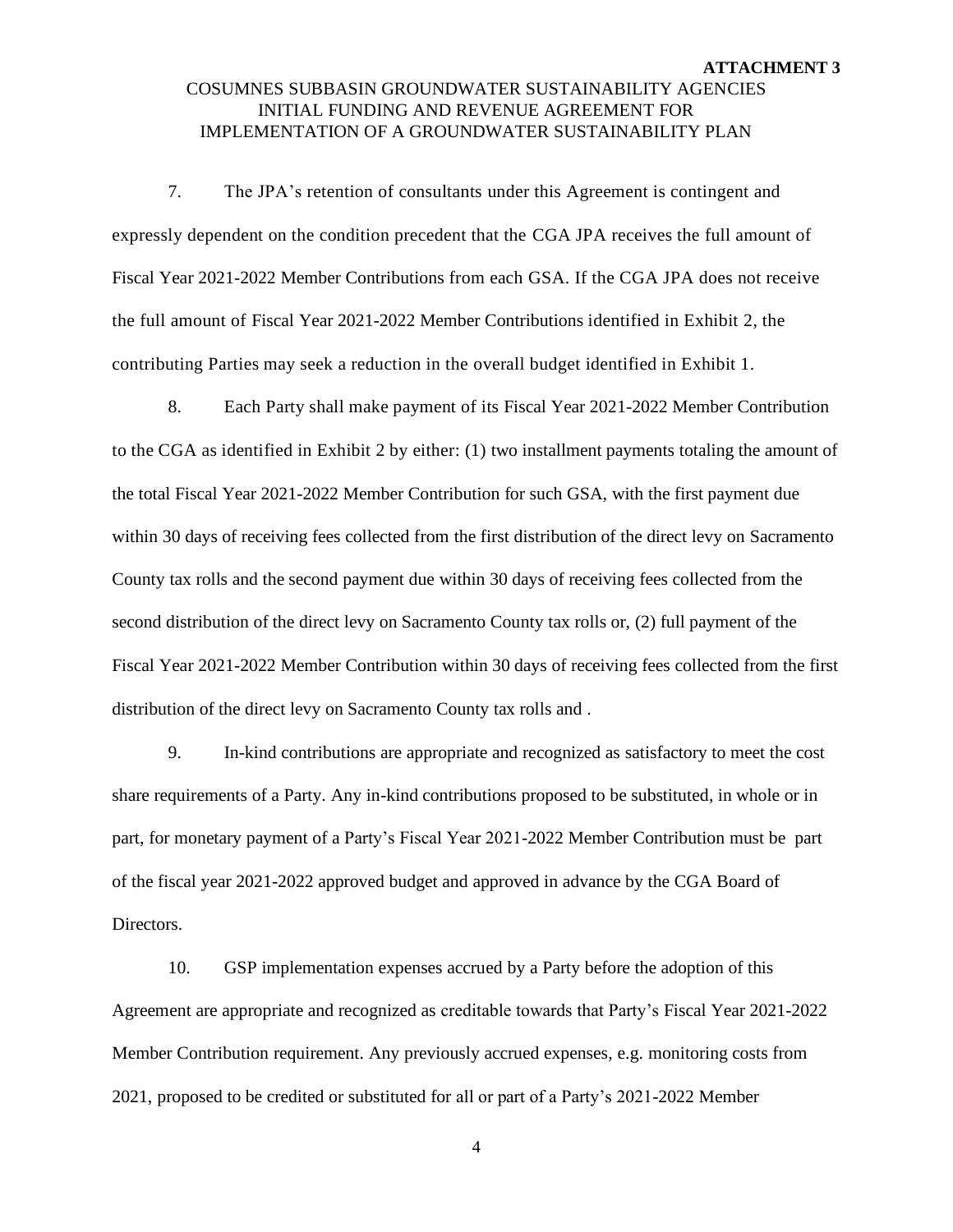7. The JPA's retention of consultants under this Agreement is contingent and expressly dependent on the condition precedent that the CGA JPA receives the full amount of Fiscal Year 2021-2022 Member Contributions from each GSA. If the CGA JPA does not receive the full amount of Fiscal Year 2021-2022 Member Contributions identified in Exhibit 2, the contributing Parties may seek a reduction in the overall budget identified in Exhibit 1.

8. Each Party shall make payment of its Fiscal Year 2021-2022 Member Contribution to the CGA as identified in Exhibit 2 by either: (1) two installment payments totaling the amount of the total Fiscal Year 2021-2022 Member Contribution for such GSA, with the first payment due within 30 days of receiving fees collected from the first distribution of the direct levy on Sacramento County tax rolls and the second payment due within 30 days of receiving fees collected from the second distribution of the direct levy on Sacramento County tax rolls or, (2) full payment of the Fiscal Year 2021-2022 Member Contribution within 30 days of receiving fees collected from the first distribution of the direct levy on Sacramento County tax rolls and .

9. In-kind contributions are appropriate and recognized as satisfactory to meet the cost share requirements of a Party. Any in-kind contributions proposed to be substituted, in whole or in part, for monetary payment of a Party's Fiscal Year 2021-2022 Member Contribution must be part of the fiscal year 2021-2022 approved budget and approved in advance by the CGA Board of Directors.

10. GSP implementation expenses accrued by a Party before the adoption of this Agreement are appropriate and recognized as creditable towards that Party's Fiscal Year 2021-2022 Member Contribution requirement. Any previously accrued expenses, e.g. monitoring costs from 2021, proposed to be credited or substituted for all or part of a Party's 2021-2022 Member

4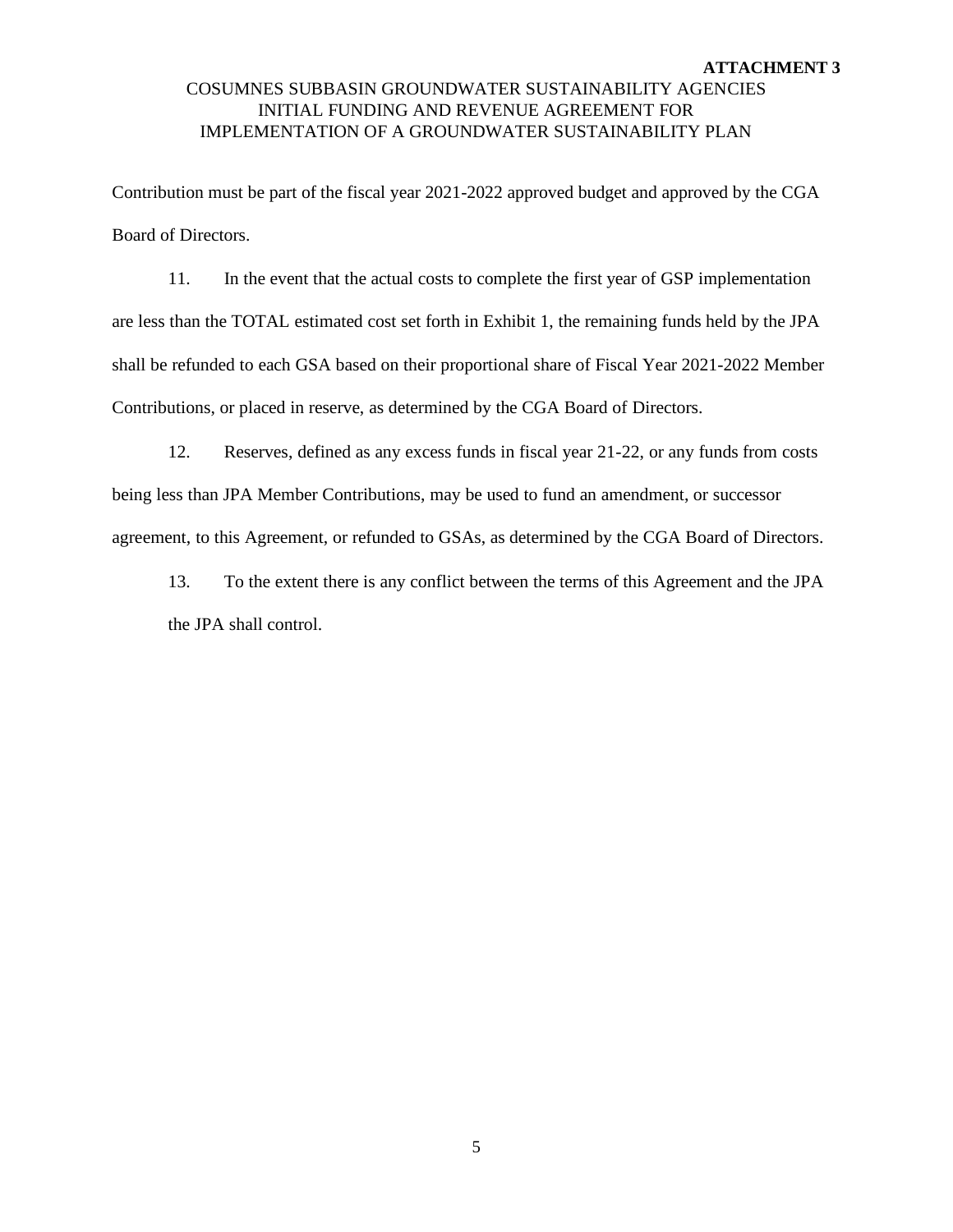Contribution must be part of the fiscal year 2021-2022 approved budget and approved by the CGA Board of Directors.

11. In the event that the actual costs to complete the first year of GSP implementation are less than the TOTAL estimated cost set forth in Exhibit 1, the remaining funds held by the JPA shall be refunded to each GSA based on their proportional share of Fiscal Year 2021-2022 Member Contributions, or placed in reserve, as determined by the CGA Board of Directors.

12. Reserves, defined as any excess funds in fiscal year 21-22, or any funds from costs being less than JPA Member Contributions, may be used to fund an amendment, or successor agreement, to this Agreement, or refunded to GSAs, as determined by the CGA Board of Directors.

13. To the extent there is any conflict between the terms of this Agreement and the JPA the JPA shall control.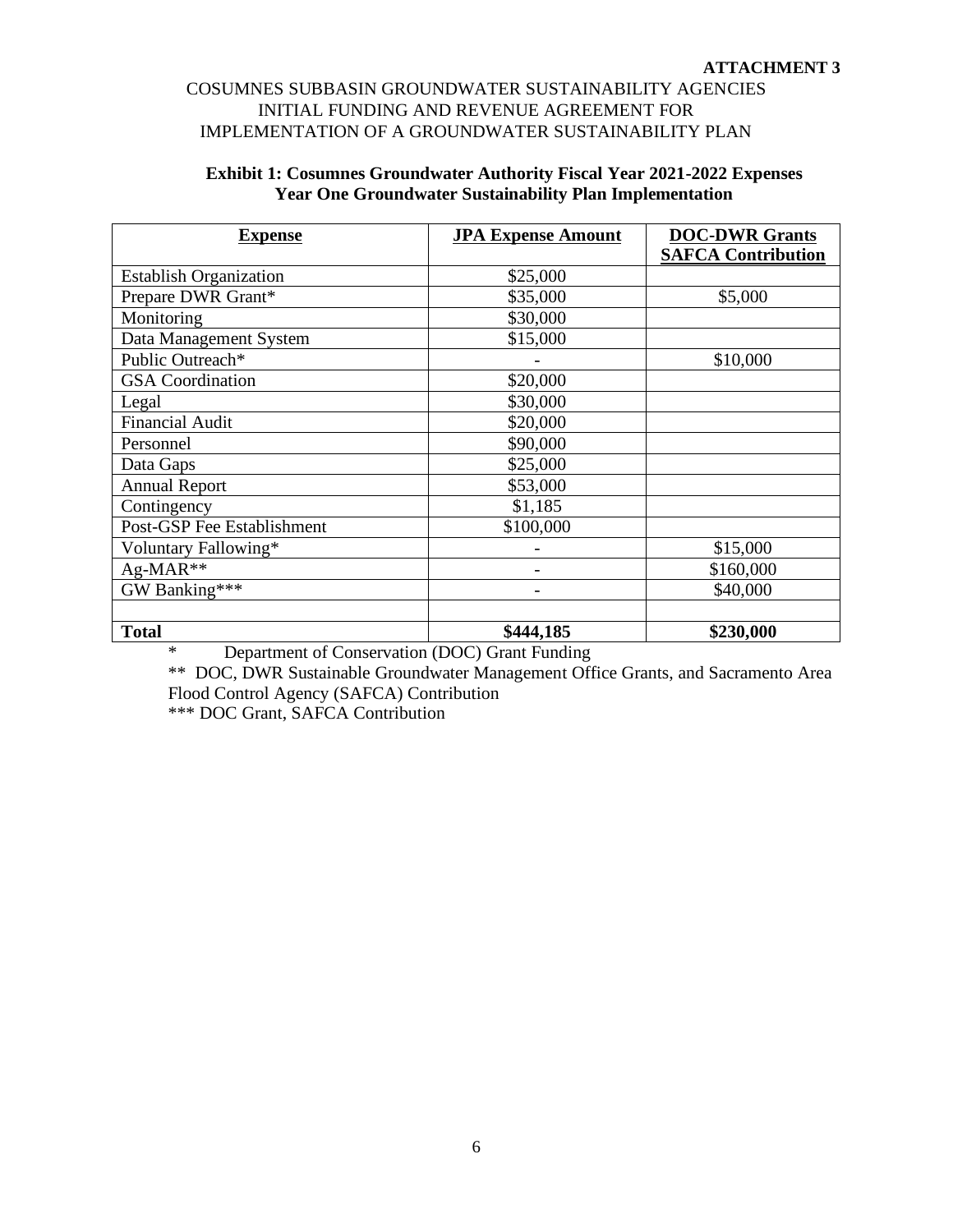| <b>Exhibit 1: Cosumnes Groundwater Authority Fiscal Year 2021-2022 Expenses</b> |
|---------------------------------------------------------------------------------|
| <b>Year One Groundwater Sustainability Plan Implementation</b>                  |

| <b>Expense</b>                | <b>JPA Expense Amount</b> | <b>DOC-DWR Grants</b><br><b>SAFCA Contribution</b> |
|-------------------------------|---------------------------|----------------------------------------------------|
|                               |                           |                                                    |
| <b>Establish Organization</b> | \$25,000                  |                                                    |
| Prepare DWR Grant*            | \$35,000                  | \$5,000                                            |
| Monitoring                    | \$30,000                  |                                                    |
| Data Management System        | \$15,000                  |                                                    |
| Public Outreach*              |                           | \$10,000                                           |
| <b>GSA</b> Coordination       | \$20,000                  |                                                    |
| Legal                         | \$30,000                  |                                                    |
| <b>Financial Audit</b>        | \$20,000                  |                                                    |
| Personnel                     | \$90,000                  |                                                    |
| Data Gaps                     | \$25,000                  |                                                    |
| <b>Annual Report</b>          | \$53,000                  |                                                    |
| Contingency                   | \$1,185                   |                                                    |
| Post-GSP Fee Establishment    | \$100,000                 |                                                    |
| Voluntary Fallowing*          |                           | \$15,000                                           |
| Ag-MAR**                      |                           | \$160,000                                          |
| GW Banking***                 |                           | \$40,000                                           |
|                               |                           |                                                    |
| <b>Total</b>                  | \$444,185                 | \$230,000                                          |

\* Department of Conservation (DOC) Grant Funding

\*\* DOC, DWR Sustainable Groundwater Management Office Grants, and Sacramento Area Flood Control Agency (SAFCA) Contribution

\*\*\* DOC Grant, SAFCA Contribution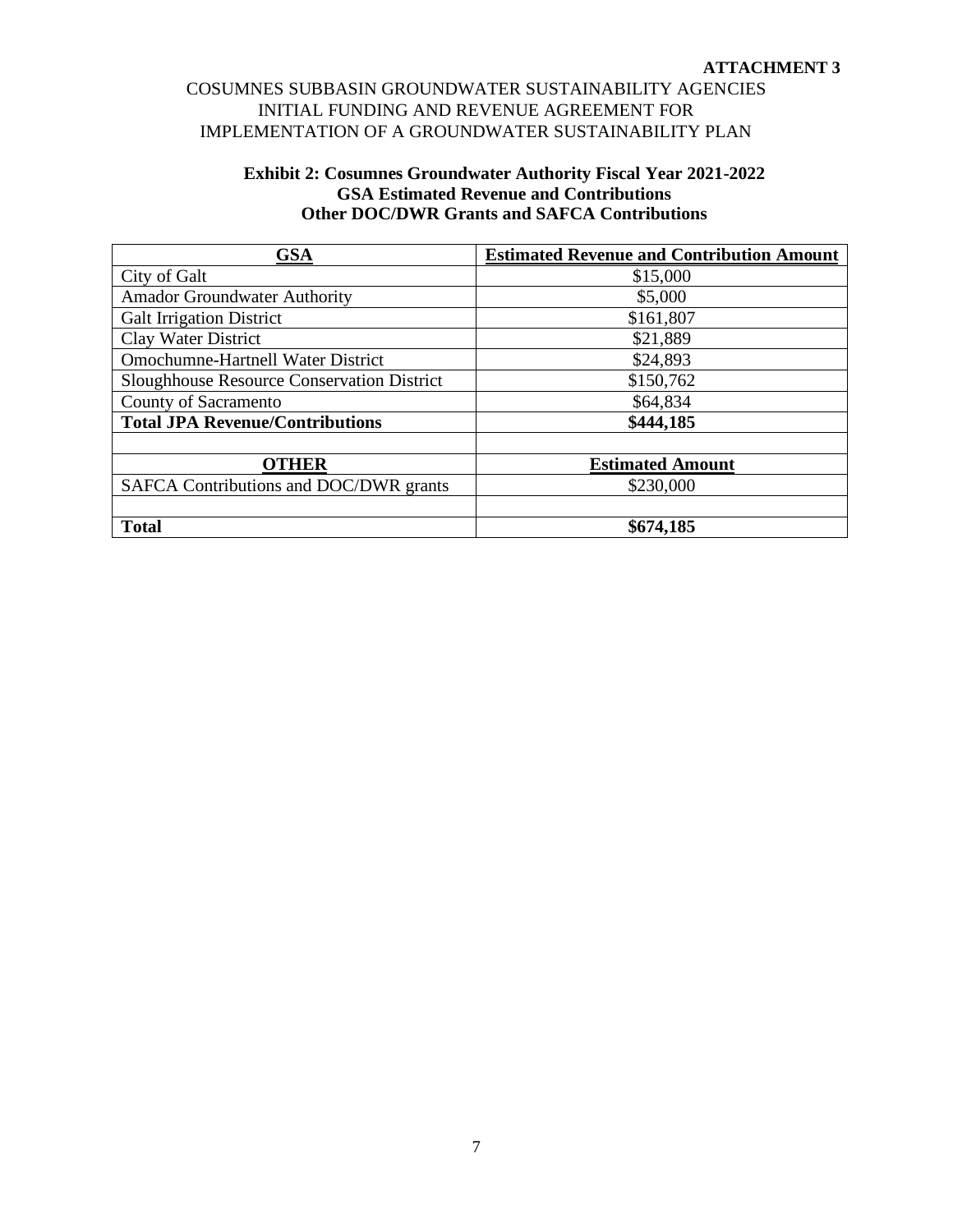### **Exhibit 2: Cosumnes Groundwater Authority Fiscal Year 2021-2022 GSA Estimated Revenue and Contributions Other DOC/DWR Grants and SAFCA Contributions**

| <b>GSA</b>                                        | <b>Estimated Revenue and Contribution Amount</b> |
|---------------------------------------------------|--------------------------------------------------|
| City of Galt                                      | \$15,000                                         |
| <b>Amador Groundwater Authority</b>               | \$5,000                                          |
| <b>Galt Irrigation District</b>                   | \$161,807                                        |
| Clay Water District                               | \$21,889                                         |
| <b>Omochumne-Hartnell Water District</b>          | \$24,893                                         |
| <b>Sloughhouse Resource Conservation District</b> | \$150,762                                        |
| County of Sacramento                              | \$64,834                                         |
| <b>Total JPA Revenue/Contributions</b>            | \$444,185                                        |
|                                                   |                                                  |
| <b>OTHER</b>                                      | <b>Estimated Amount</b>                          |
| SAFCA Contributions and DOC/DWR grants            | \$230,000                                        |
|                                                   |                                                  |
| <b>Total</b>                                      | \$674,185                                        |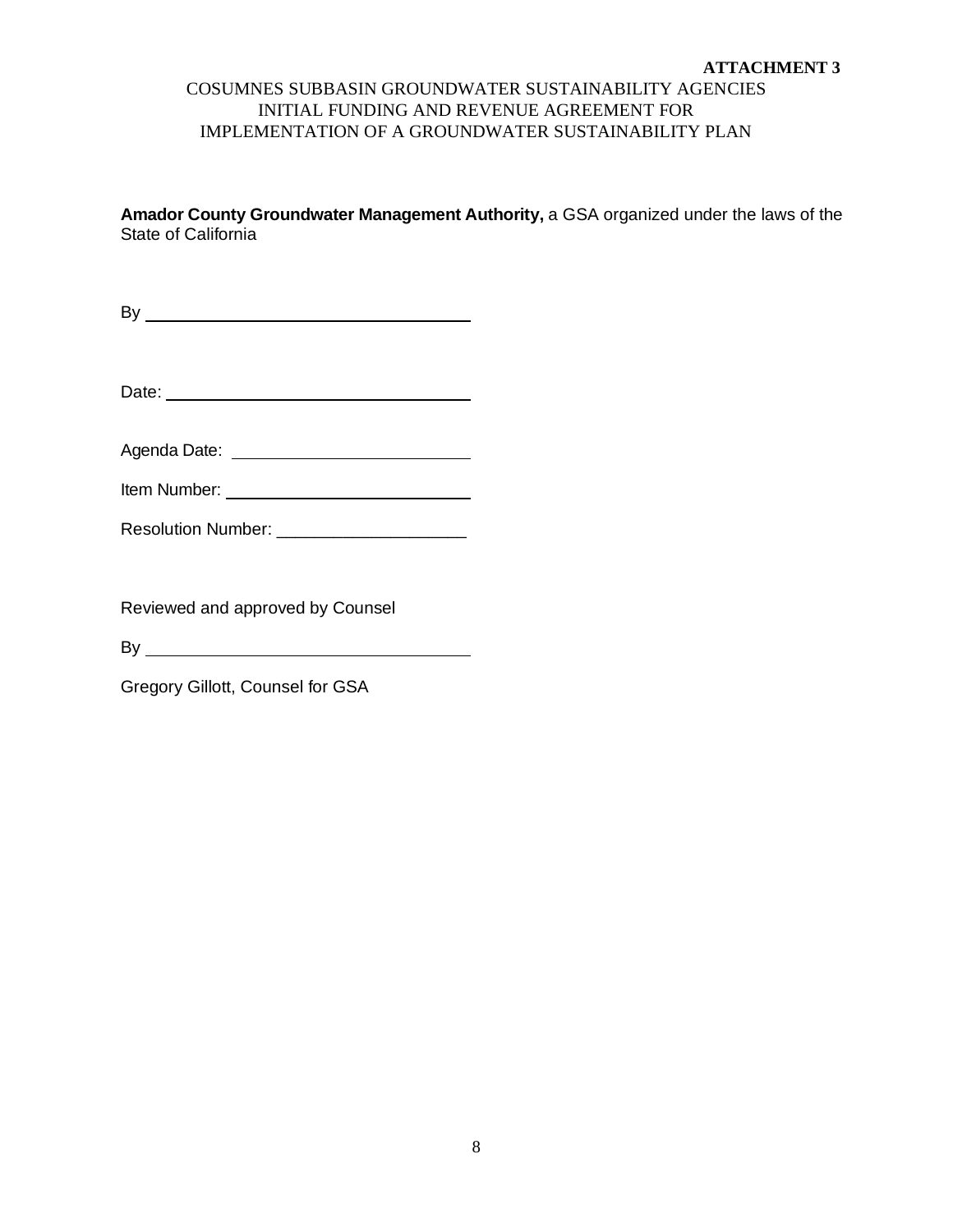# COSUMNES SUBBASIN GROUNDWATER SUSTAINABILITY AGENCIES INITIAL FUNDING AND REVENUE AGREEMENT FOR IMPLEMENTATION OF A GROUNDWATER SUSTAINABILITY PLAN

**Amador County Groundwater Management Authority,** a GSA organized under the laws of the State of California

By

Date:

Agenda Date: 2008 - 2008 - 2010 - 2010 - 2010 - 2010 - 2010 - 2010 - 2010 - 2010 - 2010 - 2010 - 2010 - 2010 -

| Item Number: |
|--------------|
|              |

| <b>Resolution Number:</b> |  |
|---------------------------|--|
|---------------------------|--|

Reviewed and approved by Counsel

By

Gregory Gillott, Counsel for GSA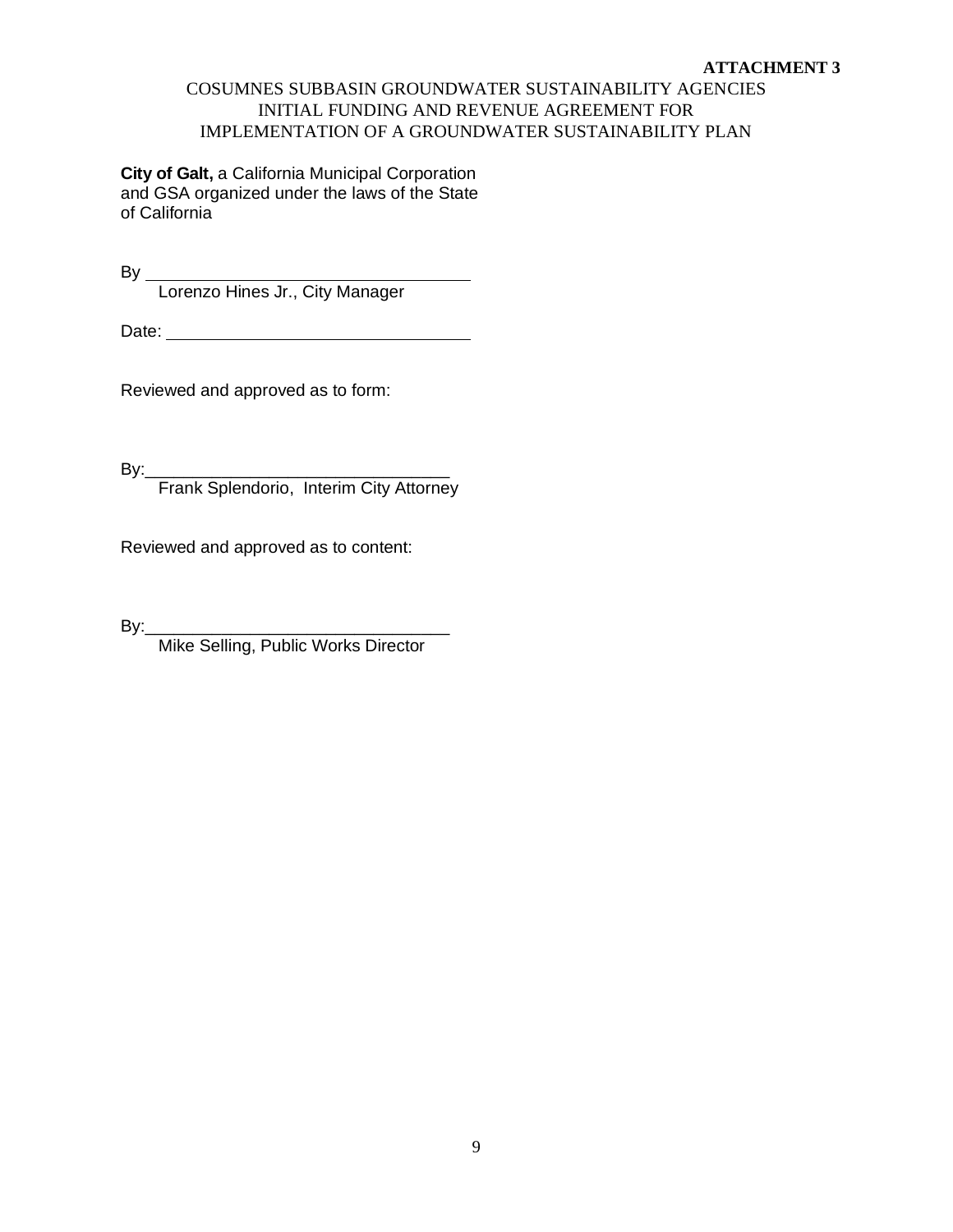# COSUMNES SUBBASIN GROUNDWATER SUSTAINABILITY AGENCIES INITIAL FUNDING AND REVENUE AGREEMENT FOR IMPLEMENTATION OF A GROUNDWATER SUSTAINABILITY PLAN

**City of Galt,** a California Municipal Corporation and GSA organized under the laws of the State of California

By

Lorenzo Hines Jr., City Manager

Date:

Reviewed and approved as to form:

By:\_\_\_\_\_\_\_\_\_\_\_\_\_\_\_\_\_\_\_\_\_\_\_\_\_\_\_\_\_\_\_\_

Frank Splendorio, Interim City Attorney

Reviewed and approved as to content:

By:\_\_\_\_\_\_\_\_\_\_\_\_\_\_\_\_\_\_\_\_\_\_\_\_\_\_\_\_\_\_\_\_

Mike Selling, Public Works Director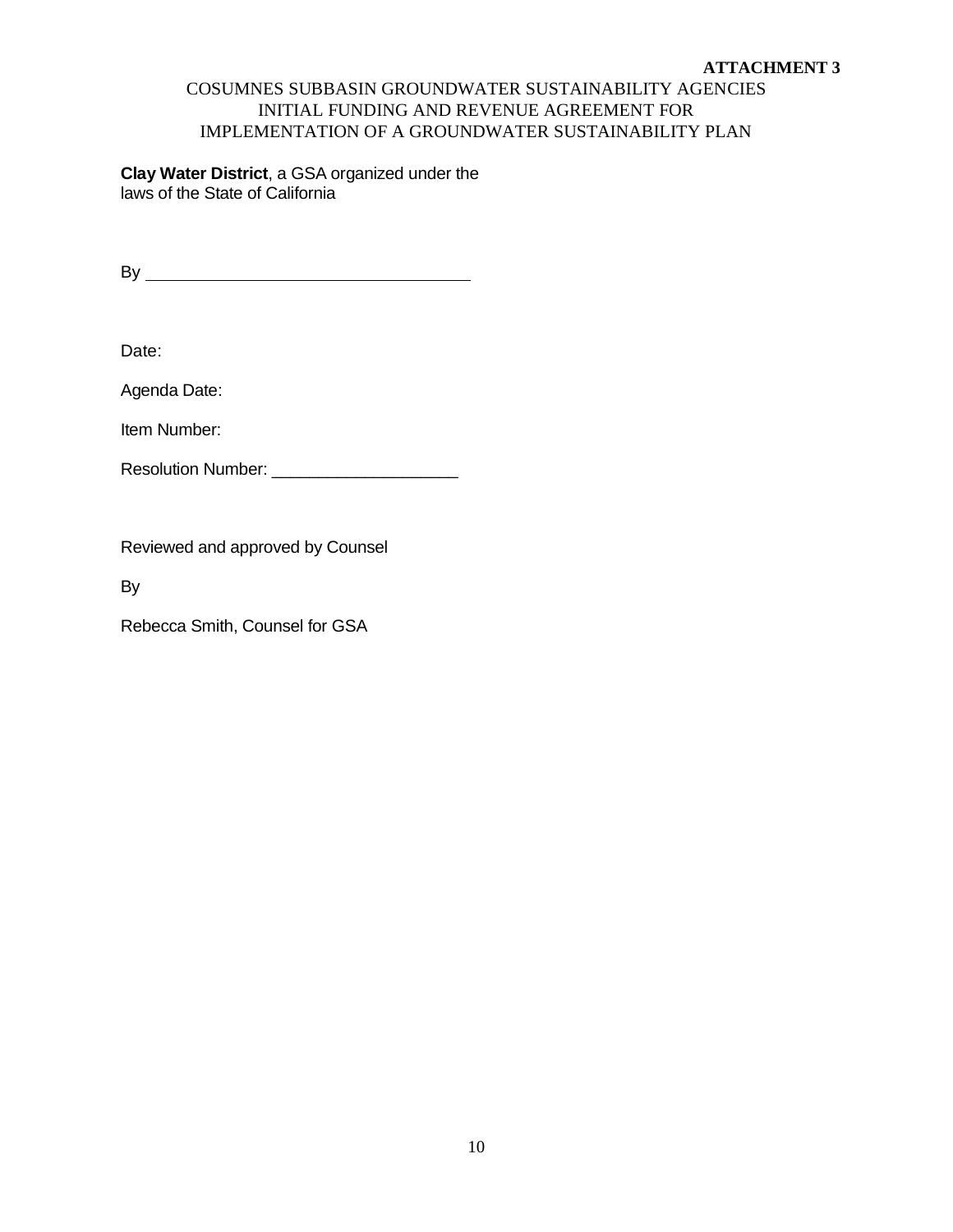# COSUMNES SUBBASIN GROUNDWATER SUSTAINABILITY AGENCIES INITIAL FUNDING AND REVENUE AGREEMENT FOR IMPLEMENTATION OF A GROUNDWATER SUSTAINABILITY PLAN

**Clay Water District**, a GSA organized under the laws of the State of California

By

Date:

Agenda Date:

Item Number:

Resolution Number: \_\_\_\_\_\_\_\_\_\_\_\_\_\_\_\_\_\_\_\_

Reviewed and approved by Counsel

By

Rebecca Smith, Counsel for GSA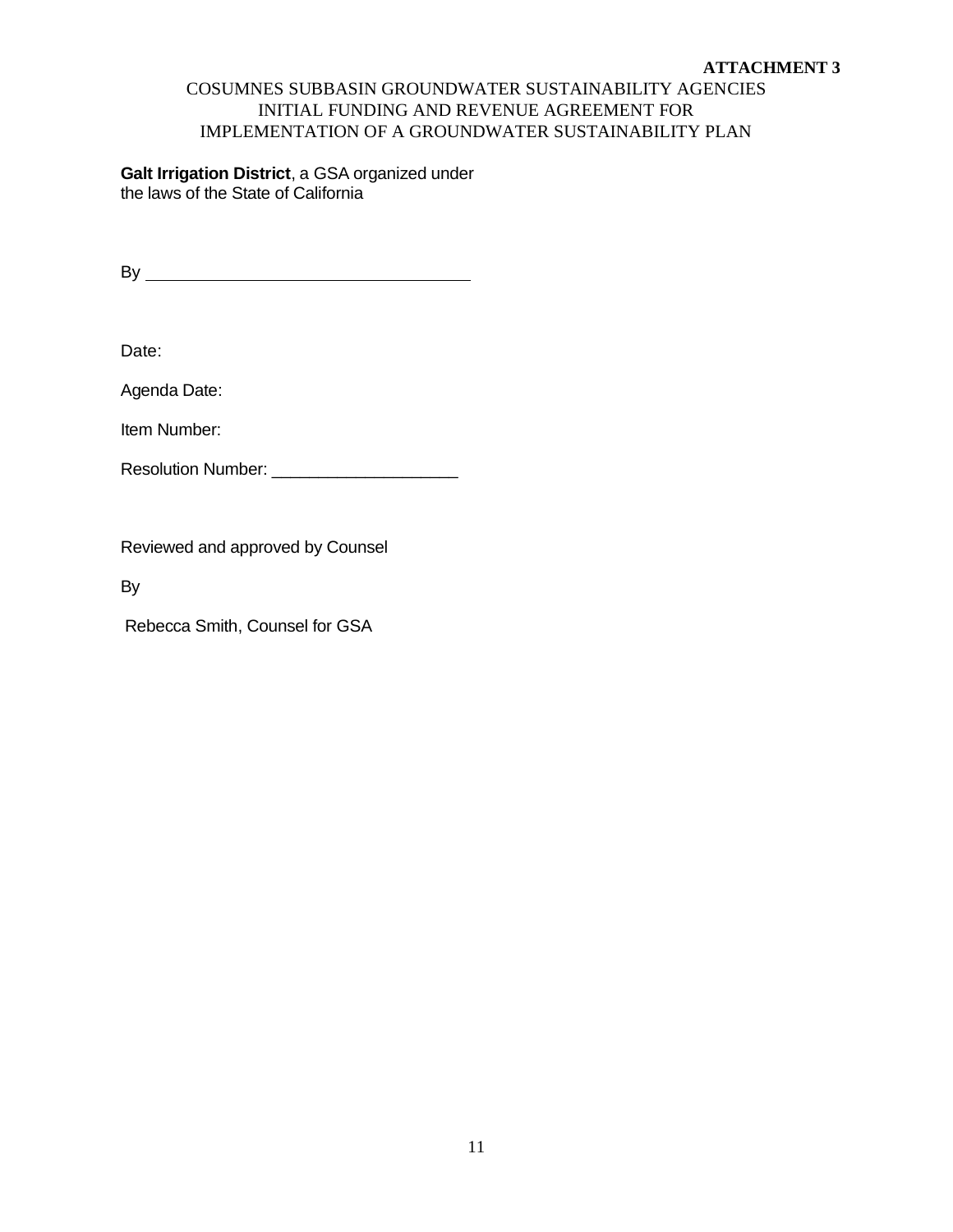# COSUMNES SUBBASIN GROUNDWATER SUSTAINABILITY AGENCIES INITIAL FUNDING AND REVENUE AGREEMENT FOR IMPLEMENTATION OF A GROUNDWATER SUSTAINABILITY PLAN

**Galt Irrigation District**, a GSA organized under the laws of the State of California

By

Date:

Agenda Date:

Item Number:

Resolution Number: \_\_\_\_\_\_\_\_\_\_\_\_\_\_\_\_\_\_\_\_

Reviewed and approved by Counsel

By

Rebecca Smith, Counsel for GSA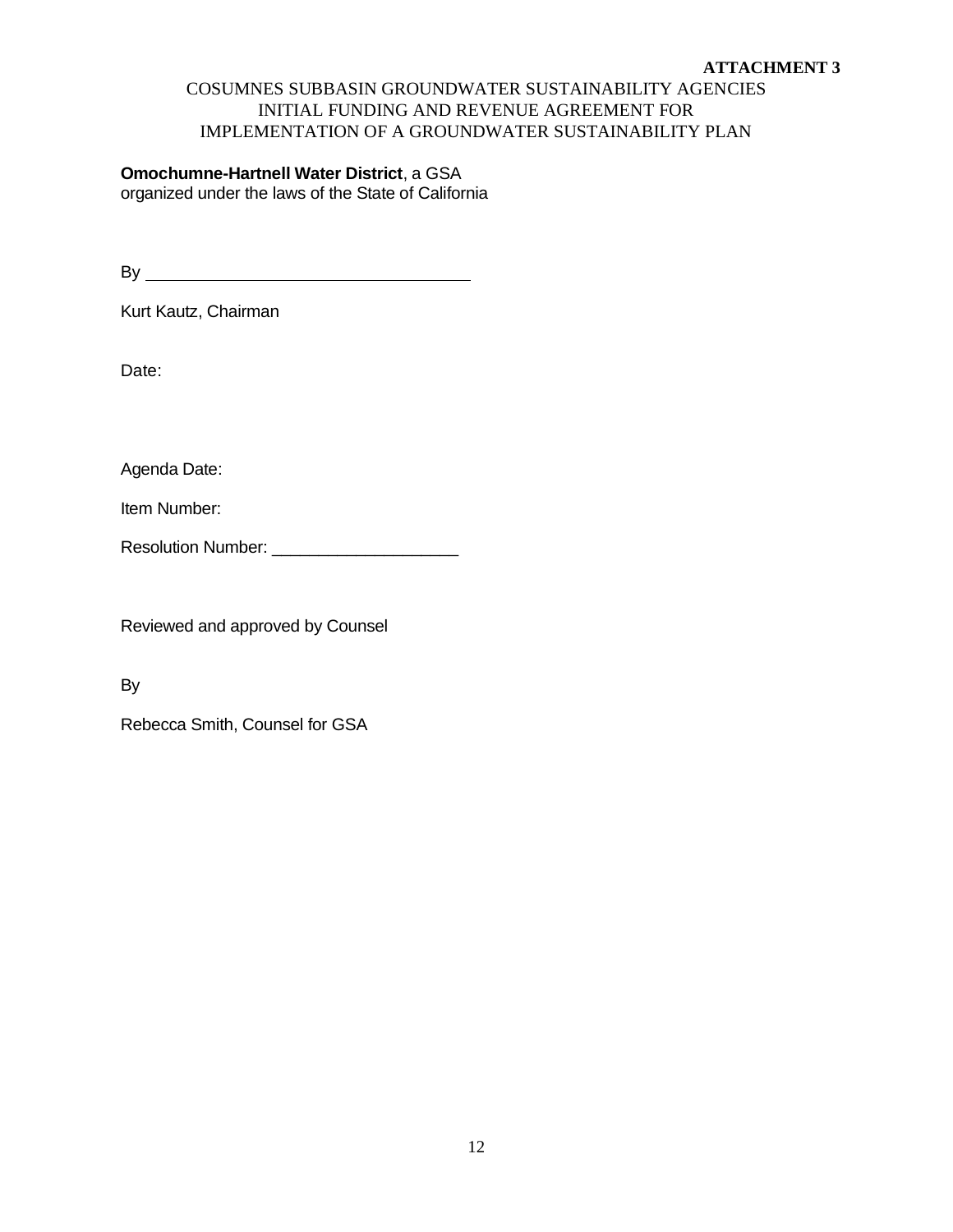# COSUMNES SUBBASIN GROUNDWATER SUSTAINABILITY AGENCIES INITIAL FUNDING AND REVENUE AGREEMENT FOR IMPLEMENTATION OF A GROUNDWATER SUSTAINABILITY PLAN

# **Omochumne-Hartnell Water District**, a GSA organized under the laws of the State of California

By

Kurt Kautz, Chairman

Date:

Agenda Date:

Item Number:

Resolution Number: \_\_\_\_\_\_\_\_\_\_\_\_\_\_\_\_\_\_\_\_

Reviewed and approved by Counsel

By

Rebecca Smith, Counsel for GSA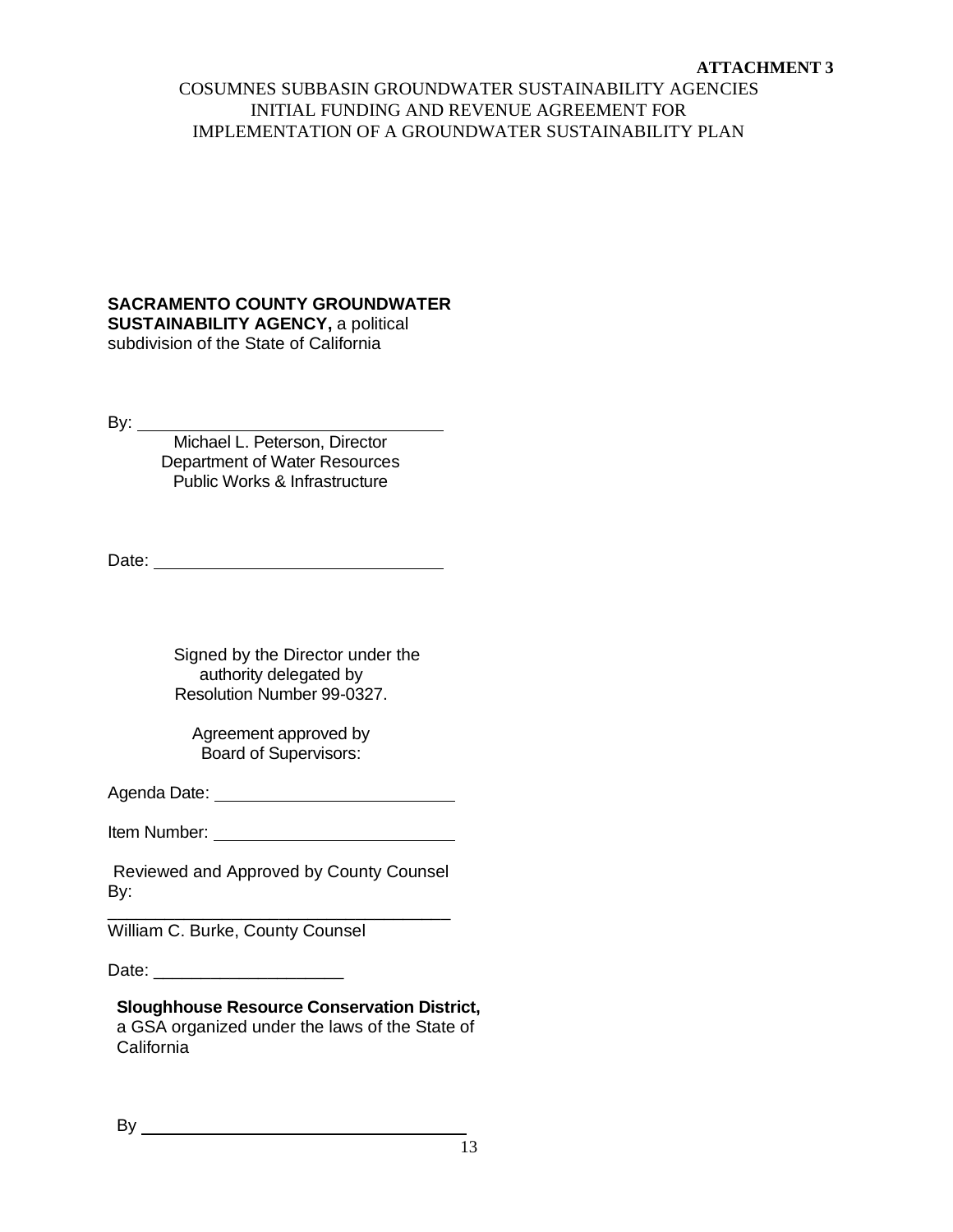# COSUMNES SUBBASIN GROUNDWATER SUSTAINABILITY AGENCIES INITIAL FUNDING AND REVENUE AGREEMENT FOR IMPLEMENTATION OF A GROUNDWATER SUSTAINABILITY PLAN

# **SACRAMENTO COUNTY GROUNDWATER**

**SUSTAINABILITY AGENCY, a political** subdivision of the State of California

By:  $\_\_$ 

Michael L. Peterson, Director Department of Water Resources Public Works & Infrastructure

Date:

Signed by the Director under the authority delegated by Resolution Number 99-0327.

Agreement approved by Board of Supervisors:

Agenda Date:

Item Number:

Reviewed and Approved by County Counsel By: \_\_\_\_\_\_\_\_\_\_\_\_\_\_\_\_\_\_\_\_\_\_\_\_\_\_\_\_\_\_\_\_\_\_\_\_

William C. Burke, County Counsel

Date: \_\_\_\_\_\_\_\_\_\_\_\_\_\_\_\_\_\_\_\_

**Sloughhouse Resource Conservation District,**  a GSA organized under the laws of the State of California

By